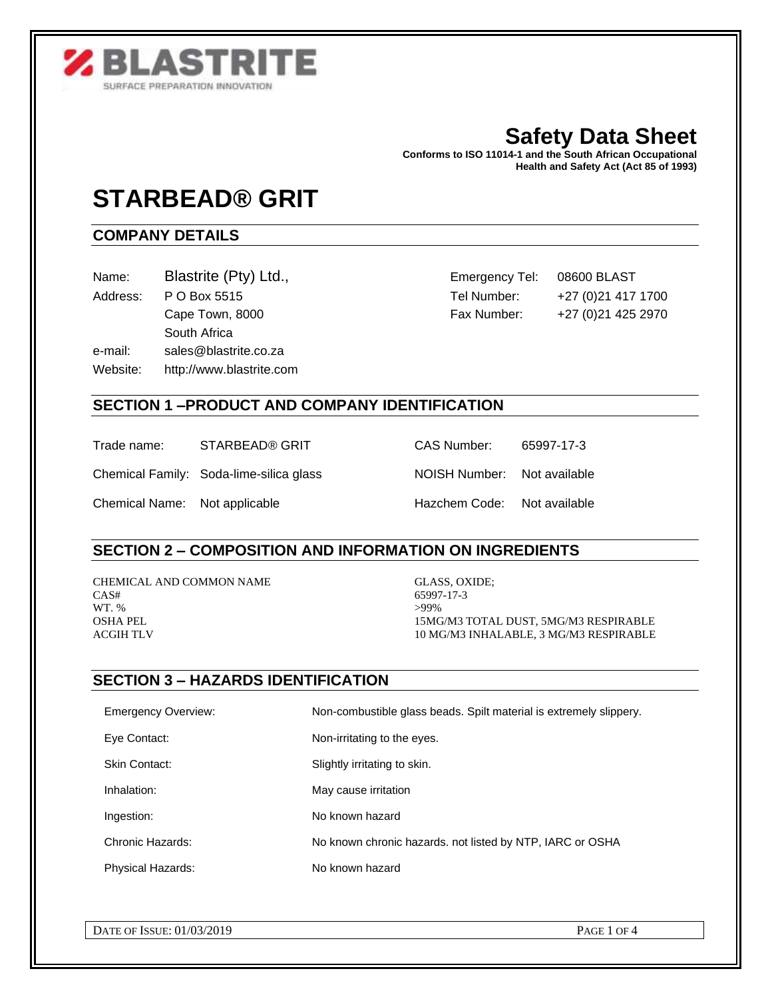

# **Safety Data Sheet**

**Conforms to ISO 11014-1 and the South African Occupational Health and Safety Act (Act 85 of 1993)** 

# **STARBEAD® GRIT**

# **COMPANY DETAILS**

- 
- South Africa e-mail: sales@blastrite.co.za Website: http://www.blastrite.com

Name: Blastrite (Pty) Ltd., Emergency Tel: 08600 BLAST Address: P O Box 5515 Tel Number: +27 (0)21 417 1700 Cape Town, 8000 Fax Number: +27 (0)21 425 2970

# **SECTION 1 –PRODUCT AND COMPANY IDENTIFICATION**

Trade name: STARBEAD® GRIT CAS Number: 65997-17-3

Chemical Family: Soda-lime-silica glass NOISH Number: Not available

Chemical Name: Not applicable Hazchem Code: Not available

#### **SECTION 2 – COMPOSITION AND INFORMATION ON INGREDIENTS**

CHEMICAL AND COMMON NAME GLASS, OXIDE; CAS# 65997-17-3 WT. %  $>99\%$ 

OSHA PEL 15MG/M3 TOTAL DUST, 5MG/M3 RESPIRABLE ACGIH TLV 10 MG/M3 INHALABLE, 3 MG/M3 RESPIRABLE

# **SECTION 3 – HAZARDS IDENTIFICATION**

| <b>Emergency Overview:</b> | Non-combustible glass beads. Spilt material is extremely slippery. |
|----------------------------|--------------------------------------------------------------------|
| Eye Contact:               | Non-irritating to the eyes.                                        |
| Skin Contact:              | Slightly irritating to skin.                                       |
| Inhalation:                | May cause irritation                                               |
| Ingestion:                 | No known hazard                                                    |
| Chronic Hazards:           | No known chronic hazards, not listed by NTP, IARC or OSHA          |
| <b>Physical Hazards:</b>   | No known hazard                                                    |
|                            |                                                                    |

DATE OF ISSUE: 01/03/2019 PAGE 1 OF 4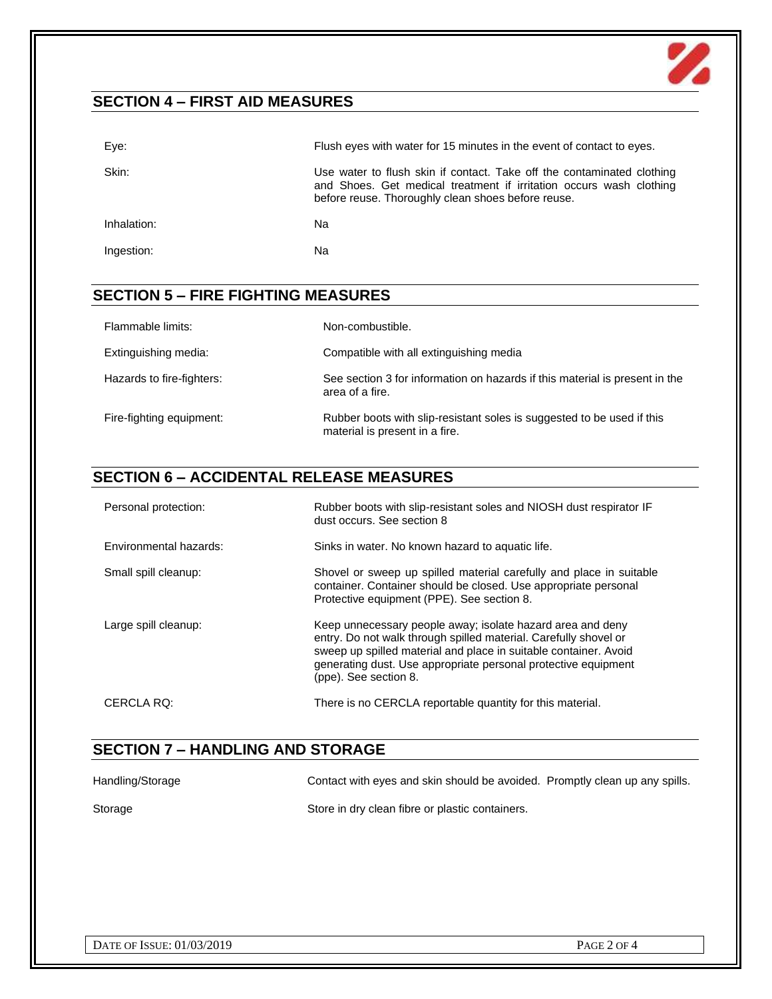# **SECTION 4 – FIRST AID MEASURES**

| ,LVIIVII + - I II\JI AID MLAJUNLJ |                                                                                                                                                                                                     |
|-----------------------------------|-----------------------------------------------------------------------------------------------------------------------------------------------------------------------------------------------------|
| Eye:                              | Flush eyes with water for 15 minutes in the event of contact to eyes.                                                                                                                               |
| Skin:                             | Use water to flush skin if contact. Take off the contaminated clothing<br>and Shoes. Get medical treatment if irritation occurs wash clothing<br>before reuse. Thoroughly clean shoes before reuse. |
| Inhalation:                       | Na                                                                                                                                                                                                  |
| Ingestion:                        | Na                                                                                                                                                                                                  |

## **SECTION 5 – FIRE FIGHTING MEASURES**

| Flammable limits:         | Non-combustible.                                                                                         |
|---------------------------|----------------------------------------------------------------------------------------------------------|
| Extinguishing media:      | Compatible with all extinguishing media                                                                  |
| Hazards to fire-fighters: | See section 3 for information on hazards if this material is present in the<br>area of a fire.           |
| Fire-fighting equipment:  | Rubber boots with slip-resistant soles is suggested to be used if this<br>material is present in a fire. |

#### **SECTION 6 – ACCIDENTAL RELEASE MEASURES**

| Personal protection:   | Rubber boots with slip-resistant soles and NIOSH dust respirator IF<br>dust occurs. See section 8                                                                                                                                                                                             |
|------------------------|-----------------------------------------------------------------------------------------------------------------------------------------------------------------------------------------------------------------------------------------------------------------------------------------------|
| Environmental hazards: | Sinks in water. No known hazard to aquatic life.                                                                                                                                                                                                                                              |
| Small spill cleanup:   | Shovel or sweep up spilled material carefully and place in suitable<br>container. Container should be closed. Use appropriate personal<br>Protective equipment (PPE). See section 8.                                                                                                          |
| Large spill cleanup:   | Keep unnecessary people away; isolate hazard area and deny<br>entry. Do not walk through spilled material. Carefully shovel or<br>sweep up spilled material and place in suitable container. Avoid<br>generating dust. Use appropriate personal protective equipment<br>(ppe). See section 8. |
| CERCLA RQ:             | There is no CERCLA reportable quantity for this material.                                                                                                                                                                                                                                     |

# **SECTION 7 – HANDLING AND STORAGE**

| Handling/Storage | Contact with eyes and skin should be avoided. Promptly clean up any spills. |  |
|------------------|-----------------------------------------------------------------------------|--|
| Storage          | Store in dry clean fibre or plastic containers.                             |  |

 $\mathbf{Z}$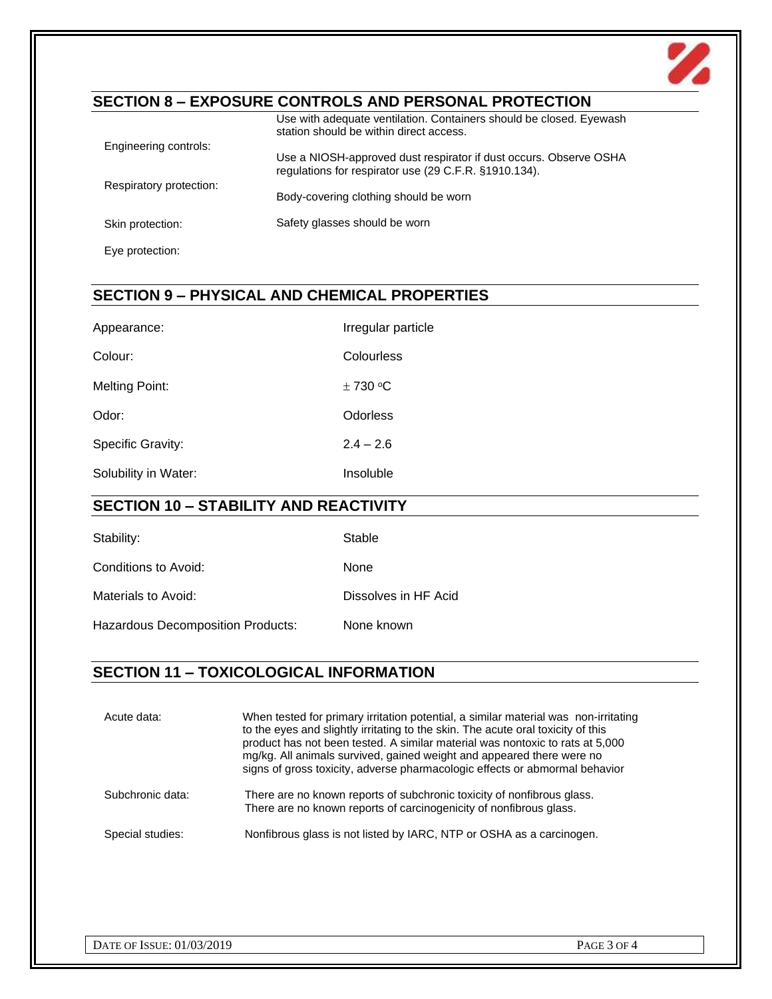

# **SECTION 8 – EXPOSURE CONTROLS AND PERSONAL PROTECTION**

|                         | Use with adequate ventilation. Containers should be closed. Eyewash<br>station should be within direct access.             |
|-------------------------|----------------------------------------------------------------------------------------------------------------------------|
| Engineering controls:   |                                                                                                                            |
|                         | Use a NIOSH-approved dust respirator if dust occurs. Observe OSHA<br>regulations for respirator use (29 C.F.R. §1910.134). |
| Respiratory protection: | Body-covering clothing should be worn                                                                                      |
| Skin protection:        | Safety glasses should be worn                                                                                              |
| Eye protection:         |                                                                                                                            |

# **SECTION 9 – PHYSICAL AND CHEMICAL PROPERTIES**

| Appearance:              | Irregular particle |
|--------------------------|--------------------|
| Colour:                  | Colourless         |
| Melting Point:           | $\pm$ 730 °C       |
| Odor:                    | <b>Odorless</b>    |
| <b>Specific Gravity:</b> | $2.4 - 2.6$        |
| Solubility in Water:     | Insoluble          |

# **SECTION 10 – STABILITY AND REACTIVITY**

| Stability:                               | Stable               |
|------------------------------------------|----------------------|
| Conditions to Avoid:                     | None                 |
| Materials to Avoid:                      | Dissolves in HF Acid |
| <b>Hazardous Decomposition Products:</b> | None known           |

# **SECTION 11 – TOXICOLOGICAL INFORMATION**

| Acute data:      | When tested for primary irritation potential, a similar material was non-irritating<br>to the eyes and slightly irritating to the skin. The acute oral toxicity of this<br>product has not been tested. A similar material was nontoxic to rats at 5,000<br>mg/kg. All animals survived, gained weight and appeared there were no<br>signs of gross toxicity, adverse pharmacologic effects or abmormal behavior |
|------------------|------------------------------------------------------------------------------------------------------------------------------------------------------------------------------------------------------------------------------------------------------------------------------------------------------------------------------------------------------------------------------------------------------------------|
| Subchronic data: | There are no known reports of subchronic toxicity of nonfibrous glass.<br>There are no known reports of carcinogenicity of nonfibrous glass.                                                                                                                                                                                                                                                                     |
| Special studies: | Nonfibrous glass is not listed by IARC, NTP or OSHA as a carcinogen.                                                                                                                                                                                                                                                                                                                                             |